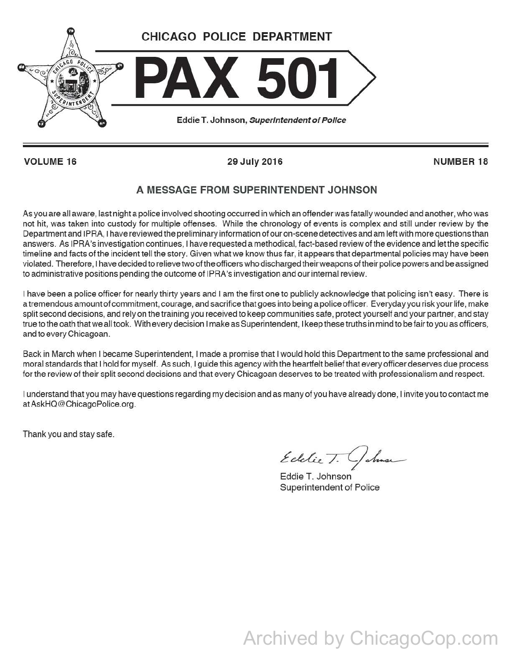

**VOLUME16 29 July 2016 NUMBER18** 

## **A MESSAGE FROM SUPERINTENDENT JOHNSON**

As you are all aware, last night a police involved shooting occurred in which an offender was fatally wounded and another, who was not hit, was taken into custody for multiple offenses. While the chronology of events is complex and still under review by the Department and I PRA, I have reviewed the preliminary information of our on-scene detectives and am left with more questions than answers. As IPRA's investigation continues, I have requested a methodical, fact-based review of the evidence and let the specific timeline and facts of the incident tell the story. Given what we know thus far, it appears that departmental policies may have been violated. Therefore, I have decided to relieve two of the officers who discharged their weapons of their police powers and be assigned to administrative positions pending the outcome of IPRA's investigation and our internal review.

I have been a police officer for nearly thirty years and I am the first one to publicly acknowledge that policing isn't easy. There is a tremendous amount of commitment, courage, and sacrifice that goes into being a police officer. Everyday you risk your life, make split second decisions, and rely on the training you received to keep communities safe, protect yourself and your partner, and stay true to the oath that we all took. With every decision I make as Superintendent, I keep these truths in mind to be fair to you as officers, and to every Chicagoan.

Back in March when I became Superintendent, I made a promise that I would hold this Department to the same professional and moral standards that I hold for myself. As such, I guide this agency with the heartfelt belief that every officer deserves due process for the review of their split second decisions and that every Chicagoan deserves to be treated with professionalism and respect.

I understand that you may have questions regarding my decision and as many of you have already done, I invite you to contact me atAskHQ@ChicagoPolice.org.

Thank you and stay safe.

Edelie T. Golman

Eddie T. Johnson Superintendent of Police

Archived by ChicagoCop.com